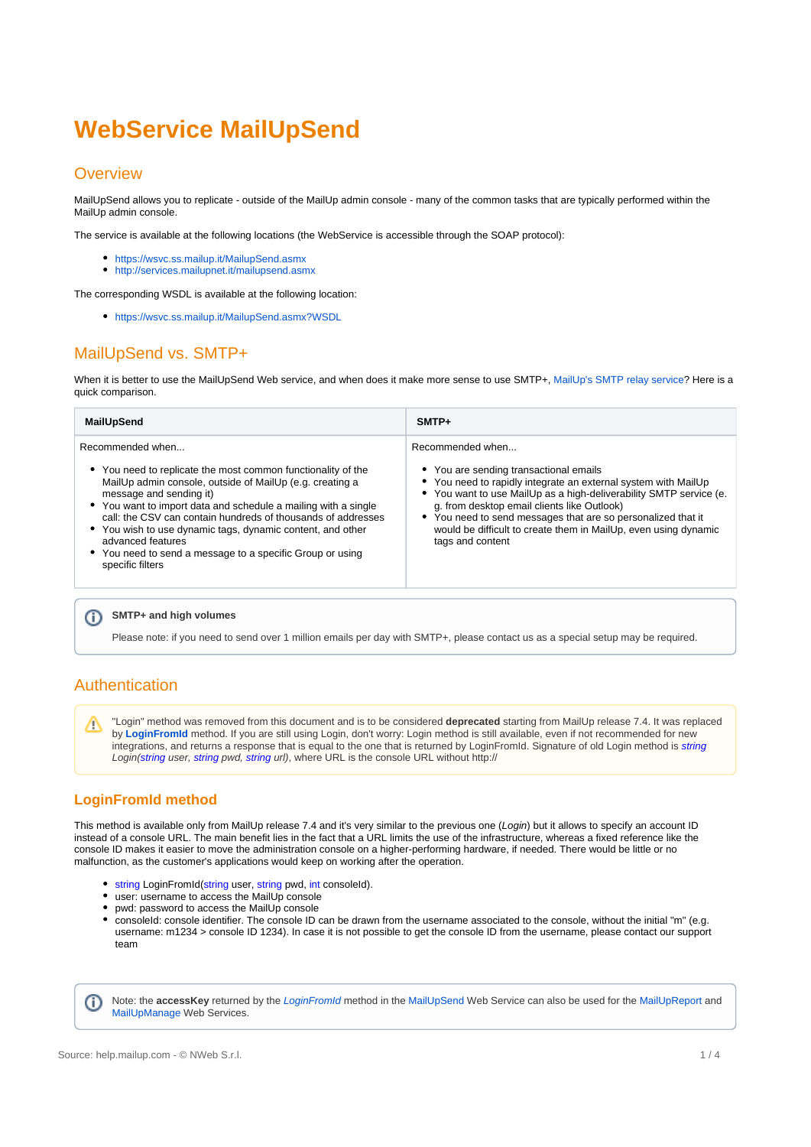# <span id="page-0-0"></span>**WebService MailUpSend**

## **Overview**

MailUpSend allows you to replicate - outside of the MailUp admin console - many of the common tasks that are typically performed within the MailUp admin console.

The service is available at the following locations (the WebService is accessible through the SOAP protocol):

- <https://wsvc.ss.mailup.it/MailupSend.asmx>
- <http://services.mailupnet.it/mailupsend.asmx>

The corresponding WSDL is available at the following location:

<https://wsvc.ss.mailup.it/MailupSend.asmx?WSDL>

# MailUpSend vs. SMTP+

When it is better to use the MailUpSend Web service, and when does it make more sense to use SMTP+, [MailUp's SMTP relay service](https://help.mailup.com/pages/viewpage.action?pageId=11862729)? Here is a quick comparison.

| MailUpSend                                                                                                                                                                                                                                                                                                                                                                                                                                                                    | $SMTP+$                                                                                                                                                                                                                                                                                                                                                                                                  |
|-------------------------------------------------------------------------------------------------------------------------------------------------------------------------------------------------------------------------------------------------------------------------------------------------------------------------------------------------------------------------------------------------------------------------------------------------------------------------------|----------------------------------------------------------------------------------------------------------------------------------------------------------------------------------------------------------------------------------------------------------------------------------------------------------------------------------------------------------------------------------------------------------|
| Recommended when<br>• You need to replicate the most common functionality of the<br>MailUp admin console, outside of MailUp (e.g. creating a<br>message and sending it)<br>• You want to import data and schedule a mailing with a single<br>call: the CSV can contain hundreds of thousands of addresses<br>• You wish to use dynamic tags, dynamic content, and other<br>advanced features<br>• You need to send a message to a specific Group or using<br>specific filters | Recommended when<br>• You are sending transactional emails<br>• You need to rapidly integrate an external system with MailUp<br>• You want to use MailUp as a high-deliverability SMTP service (e.<br>g. from desktop email clients like Outlook)<br>• You need to send messages that are so personalized that it<br>would be difficult to create them in MailUp, even using dynamic<br>tags and content |
|                                                                                                                                                                                                                                                                                                                                                                                                                                                                               |                                                                                                                                                                                                                                                                                                                                                                                                          |

#### ⋒ **SMTP+ and high volumes**

Please note: if you need to send over 1 million emails per day with SMTP+, please contact us as a special setup may be required.

# Authentication

"Login" method was removed from this document and is to be considered **deprecated** starting from MailUp release 7.4. It was replaced Λ by **[LoginFromId](https://help.mailup.com/display/mailupapi/Performing+a+login)** method. If you are still using Login, don't worry: Login method is still available, even if not recommended for new integrations, and returns a response that is equal to the one that is returned by LoginFromId. Signature of old Login method is *string* Login(string user, string pwd, string url), where URL is the console URL without http://

# **LoginFromId method**

This method is available only from MailUp release 7.4 and it's very similar to the previous one (Login) but it allows to specify an account ID instead of a console URL. The main benefit lies in the fact that a URL limits the use of the infrastructure, whereas a fixed reference like the console ID makes it easier to move the administration console on a higher-performing hardware, if needed. There would be little or no malfunction, as the customer's applications would keep on working after the operation.

- **string LoginFromId(string user, string pwd, int consoleId).**
- user: username to access the MailUp console
- pwd: password to access the MailUp console
- consoleId: console identifier. The console ID can be drawn from the username associated to the console, without the initial "m" (e.g. username: m1234 > console ID 1234). In case it is not possible to get the console ID from the username, please contact our support team

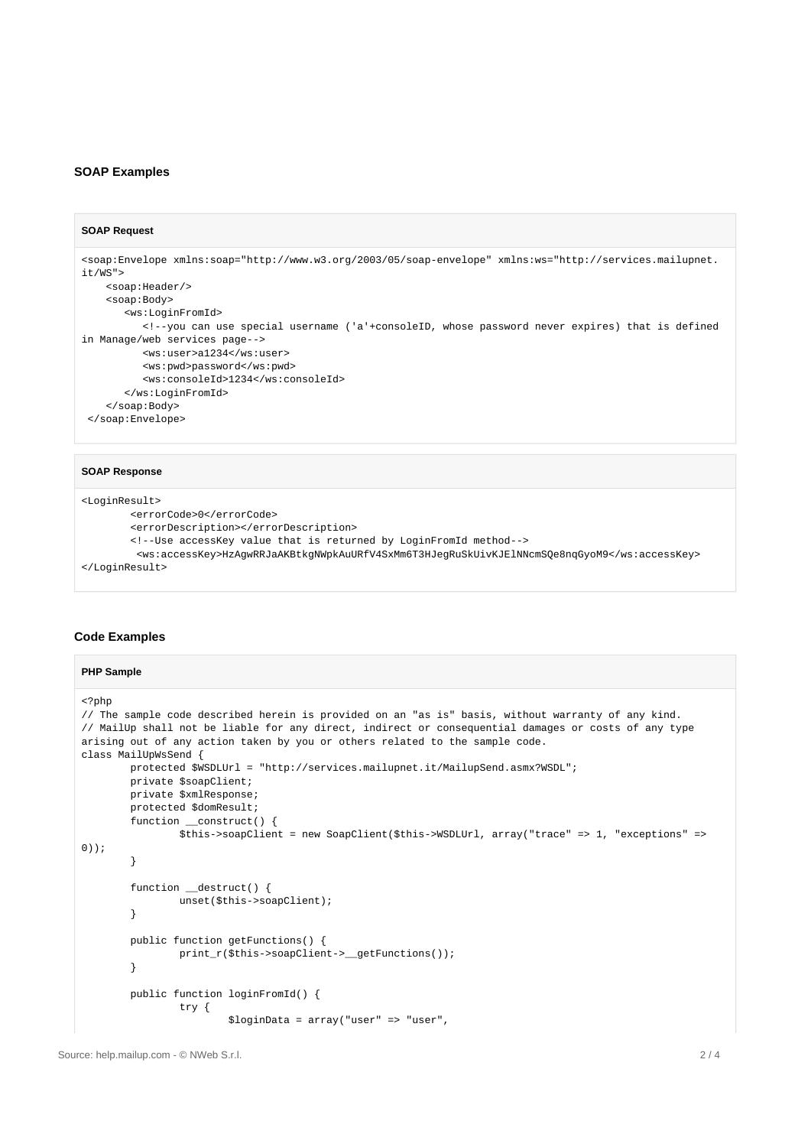#### **SOAP Examples**

⋒

#### **SOAP Request**

```
<soap:Envelope xmlns:soap="http://www.w3.org/2003/05/soap-envelope" xmlns:ws="http://services.mailupnet.
it/WS">
    <soap:Header/>
    <soap:Body>
        <ws:LoginFromId>
          <!--you can use special username ('a'+consoleID, whose password never expires) that is defined 
in Manage/web services page-->
          <ws:user>a1234</ws:user>
           <ws:pwd>password</ws:pwd>
           <ws:consoleId>1234</ws:consoleId>
        </ws:LoginFromId>
     </soap:Body>
  </soap:Envelope>
```
#### **SOAP Response**

```
<LoginResult>
         <errorCode>0</errorCode>
         <errorDescription></errorDescription>
         <!--Use accessKey value that is returned by LoginFromId method-->
         <ws:accessKey>HzAgwRRJaAKBtkgNWpkAuURfV4SxMm6T3HJegRuSkUivKJElNNcmSQe8nqGyoM9</ws:accessKey>
</LoginResult>
```
#### **Code Examples**

#### **PHP Sample**

```
<?php
// The sample code described herein is provided on an "as is" basis, without warranty of any kind. 
// MailUp shall not be liable for any direct, indirect or consequential damages or costs of any type 
arising out of any action taken by you or others related to the sample code.
class MailUpWsSend {
         protected $WSDLUrl = "http://services.mailupnet.it/MailupSend.asmx?WSDL";
         private $soapClient;
         private $xmlResponse;
         protected $domResult;
         function __construct() {
                 $this->soapClient = new SoapClient($this->WSDLUrl, array("trace" => 1, "exceptions" => 
0));
         }
         function __destruct() {
                 unset($this->soapClient); 
         }
         public function getFunctions() {
                 print_r($this->soapClient->__getFunctions()); 
         }
         public function loginFromId() {
                 try {
                         $loginData = array("user" => "user",
```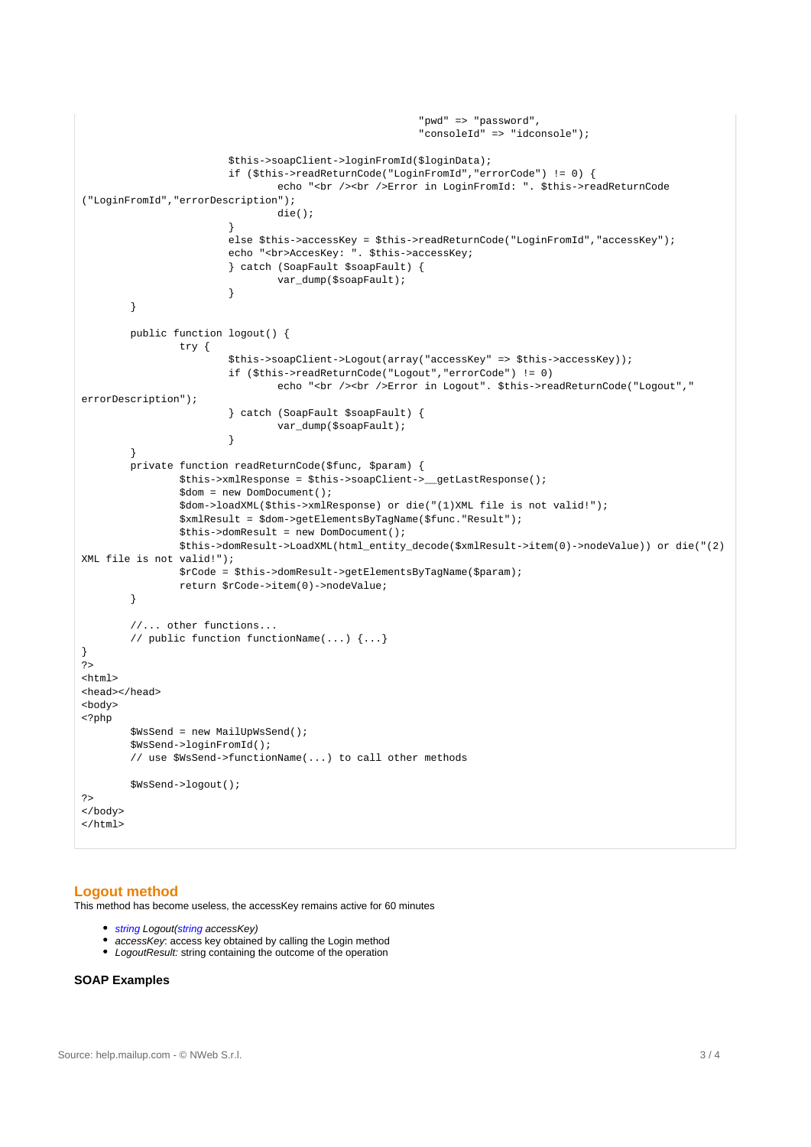```
 "pwd" => "password",
                                                        "consoleId" => "idconsole");
                        $this->soapClient->loginFromId($loginData);
                        if ($this->readReturnCode("LoginFromId","errorCode") != 0) {
                               echo "<br /><br />Error in LoginFromId: ". $this->readReturnCode
("LoginFromId","errorDescription");
                                die();
 }
                        else $this->accessKey = $this->readReturnCode("LoginFromId","accessKey");
                       echo "<br>AccesKey: ". $this->accessKey;
                        } catch (SoapFault $soapFault) { 
                               var dump($soapFault);
 }
        }
        public function logout() {
                try {
                        $this->soapClient->Logout(array("accessKey" => $this->accessKey));
                        if ($this->readReturnCode("Logout","errorCode") != 0) 
                               echo "<br /><br />Error in Logout". $this->readReturnCode("Logout","
errorDescription");
                        } catch (SoapFault $soapFault) { 
                       var_dump($soapFault);
 }
        }
        private function readReturnCode($func, $param) {
                $this->xmlResponse = $this->soapClient->__getLastResponse();
                $dom = new DomDocument();
                $dom->loadXML($this->xmlResponse) or die("(1)XML file is not valid!");
                $xmlResult = $dom->getElementsByTagName($func."Result");
                $this->domResult = new DomDocument();
                $this->domResult->LoadXML(html_entity_decode($xmlResult->item(0)->nodeValue)) or die("(2)
XML file is not valid!");
                $rCode = $this->domResult->getElementsByTagName($param);
                return $rCode->item(0)->nodeValue;
        }
        //... other functions...
         // public function functionName(...) {...}
}
?>
<html>
<head></head>
<body>
<?php
        $WsSend = new MailUpWsSend();
        $WsSend->loginFromId(); 
         // use $WsSend->functionName(...) to call other methods 
        $WsSend->logout();
?>
</body>
\alpha /html >
```
### **Logout method**

This method has become useless, the accessKey remains active for 60 minutes

- string Logout(string accessKey)
- accessKey: access key obtained by calling the Login method
- LogoutResult: string containing the outcome of the operation  $\bullet$

#### **SOAP Examples**